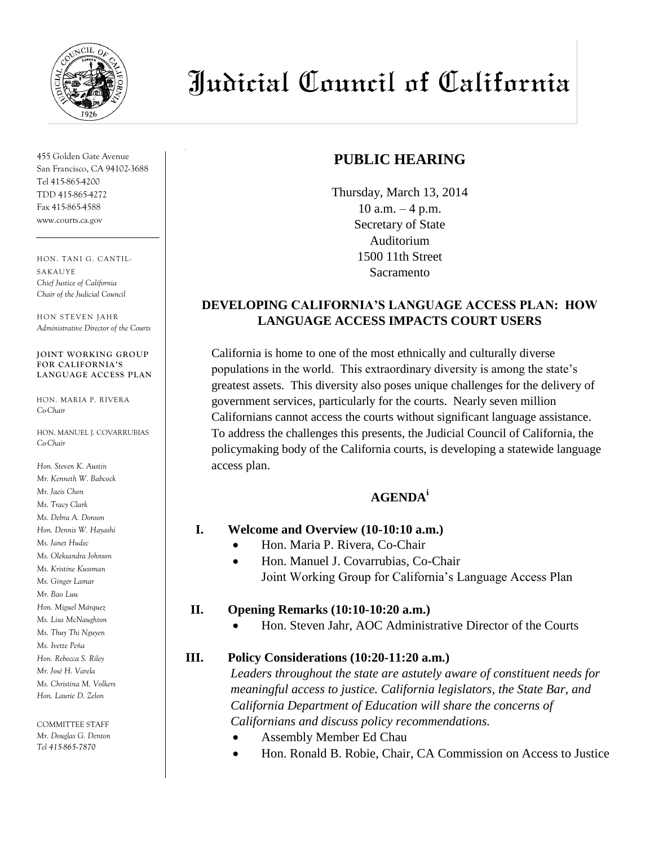

455 Golden Gate Avenue San Francisco, CA 94102-3688 Tel 415-865-4200 TDD 415-865-4272 Fax 415-865-4588 www.courts.ca.gov

HON. TA NI G. CA NTIL-**SAKAUYE** *Chief Justice of California Chair of the Judicial Council*

HON STEVEN JAHR *Administrative Director of the Courts*

#### **JOINT WORKING GROUP FOR CALIFORNIA'S LANGUAGE ACCESS PLAN**

HON. MARIA P. RIVERA *Co-Chair*

HON. MANUEL J. COVARRUBIAS *Co-Chair*

*Hon. Steven K. Austin Mr. Kenneth W. Babcock Mr. Jaeis Chon Ms. Tracy Clark Ms. Debra A. Donson Hon. Dennis W. Hayashi Ms. Janet Hudec Ms. Oleksandra Johnson Ms. Kristine Kussman Ms. Ginger Lamar Mr. Bao Luu Hon. Miguel Márquez Ms. Lisa McNaughton Ms. Thuy Thi Nguyen Ms. Ivette Peña Hon. Rebecca S. Riley Mr. José H. Varela Ms. Christina M. Volkers Hon. Laurie D. Zelon*

COMMITTEE STAFF *Mr. Douglas G. Denton Tel 415-865--7870*

# Judicial Council of California

## **PUBLIC HEARING**

Thursday, March 13, 2014 10 a.m. – 4 p.m. Secretary of State Auditorium 1500 11th Street Sacramento

#### **DEVELOPING CALIFORNIA'S LANGUAGE ACCESS PLAN: HOW LANGUAGE ACCESS IMPACTS COURT USERS**

California is home to one of the most ethnically and culturally diverse populations in the world. This extraordinary diversity is among the state's greatest assets. This diversity also poses unique challenges for the delivery of government services, particularly for the courts. Nearly seven million Californians cannot access the courts without significant language assistance. To address the challenges this presents, the Judicial Council of California, the policymaking body of the California courts, is developing a statewide language access plan.

### **AGENDA<sup>i</sup>**

#### **I. Welcome and Overview (10-10:10 a.m.)**

- Hon. Maria P. Rivera, Co-Chair
- Hon. Manuel J. Covarrubias, Co-Chair Joint Working Group for California's Language Access Plan

#### **II. Opening Remarks (10:10-10:20 a.m.)**

Hon. Steven Jahr, AOC Administrative Director of the Courts

#### **III. Policy Considerations (10:20-11:20 a.m.)**

*Leaders throughout the state are astutely aware of constituent needs for meaningful access to justice. California legislators, the State Bar, and California Department of Education will share the concerns of Californians and discuss policy recommendations.* 

- Assembly Member Ed Chau
- Hon. Ronald B. Robie, Chair, CA Commission on Access to Justice